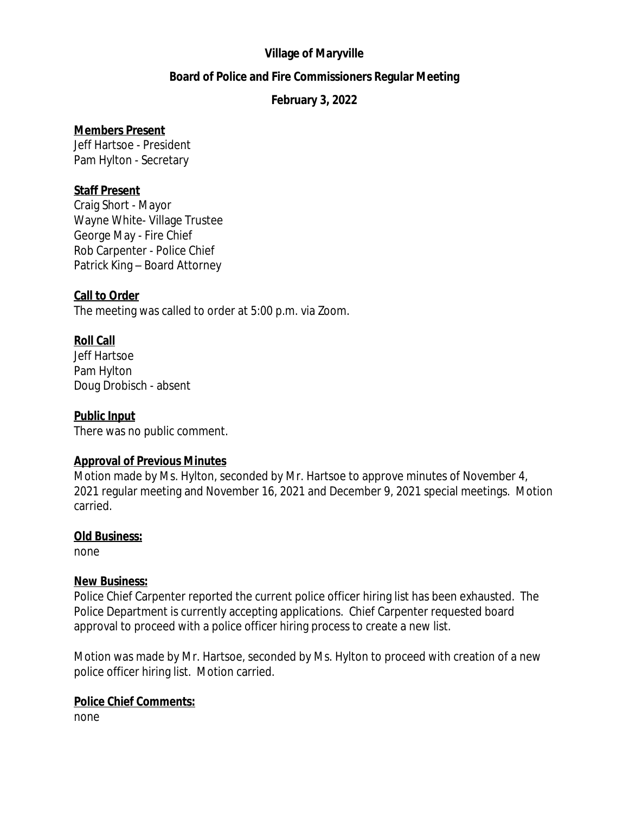## **Village of Maryville**

#### **Board of Police and Fire Commissioners Regular Meeting**

## **February 3, 2022**

#### **Members Present**

Jeff Hartsoe - President Pam Hylton - Secretary

#### **Staff Present**

Craig Short - Mayor Wayne White- Village Trustee George May - Fire Chief Rob Carpenter - Police Chief Patrick King – Board Attorney

#### **Call to Order**

The meeting was called to order at 5:00 p.m. via Zoom.

## **Roll Call**

Jeff Hartsoe Pam Hylton Doug Drobisch - absent

## **Public Input**

There was no public comment.

## **Approval of Previous Minutes**

Motion made by Ms. Hylton, seconded by Mr. Hartsoe to approve minutes of November 4, 2021 regular meeting and November 16, 2021 and December 9, 2021 special meetings. Motion carried.

#### **Old Business:**

none

#### **New Business:**

Police Chief Carpenter reported the current police officer hiring list has been exhausted. The Police Department is currently accepting applications. Chief Carpenter requested board approval to proceed with a police officer hiring process to create a new list.

Motion was made by Mr. Hartsoe, seconded by Ms. Hylton to proceed with creation of a new police officer hiring list. Motion carried.

## **Police Chief Comments:**

none